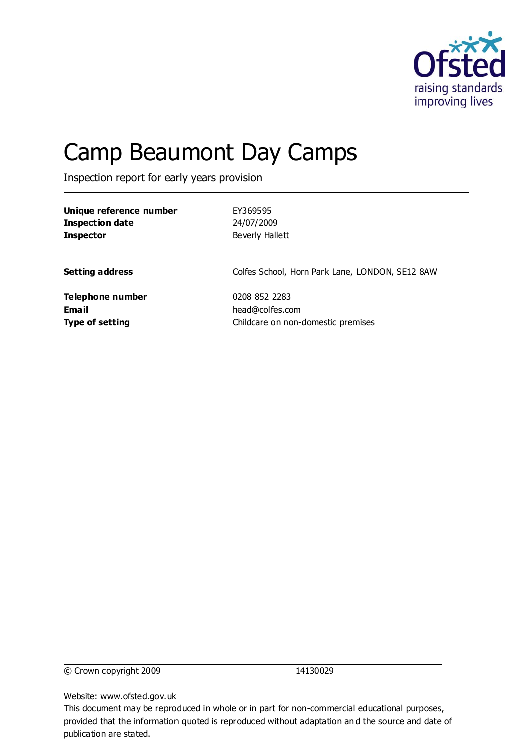

# Camp Beaumont Day Camps

Inspection report for early years provision

| Unique reference number | EY369595                                        |  |
|-------------------------|-------------------------------------------------|--|
| <b>Inspection date</b>  | 24/07/2009                                      |  |
| <b>Inspector</b>        | Beverly Hallett                                 |  |
|                         |                                                 |  |
| <b>Setting address</b>  | Colfes School, Horn Park Lane, LONDON, SE12 8AW |  |
| Telephone number        | 0208 852 2283                                   |  |
| <b>Email</b>            | head@colfes.com                                 |  |
| <b>Type of setting</b>  | Childcare on non-domestic premises              |  |

© Crown copyright 2009 14130029

Website: www.ofsted.gov.uk

This document may be reproduced in whole or in part for non-commercial educational purposes, provided that the information quoted is reproduced without adaptation and the source and date of publication are stated.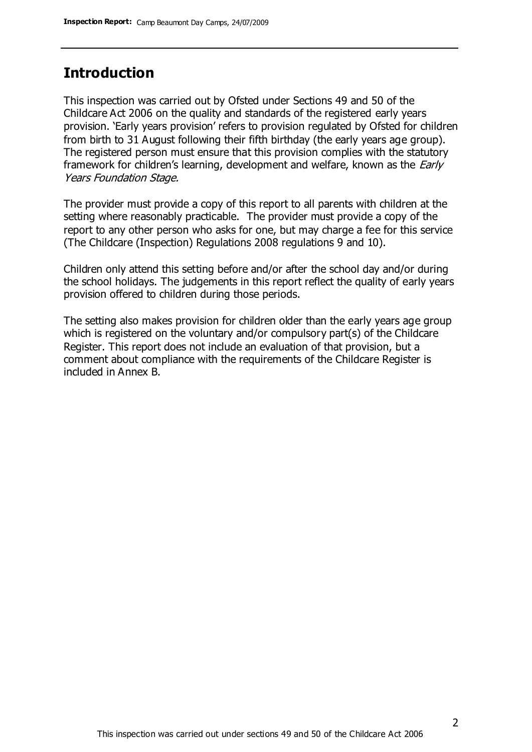## **Introduction**

This inspection was carried out by Ofsted under Sections 49 and 50 of the Childcare Act 2006 on the quality and standards of the registered early years provision. 'Early years provision' refers to provision regulated by Ofsted for children from birth to 31 August following their fifth birthday (the early years age group). The registered person must ensure that this provision complies with the statutory framework for children's learning, development and welfare, known as the *Early* Years Foundation Stage.

The provider must provide a copy of this report to all parents with children at the setting where reasonably practicable. The provider must provide a copy of the report to any other person who asks for one, but may charge a fee for this service (The Childcare (Inspection) Regulations 2008 regulations 9 and 10).

Children only attend this setting before and/or after the school day and/or during the school holidays. The judgements in this report reflect the quality of early years provision offered to children during those periods.

The setting also makes provision for children older than the early years age group which is registered on the voluntary and/or compulsory part(s) of the Childcare Register. This report does not include an evaluation of that provision, but a comment about compliance with the requirements of the Childcare Register is included in Annex B.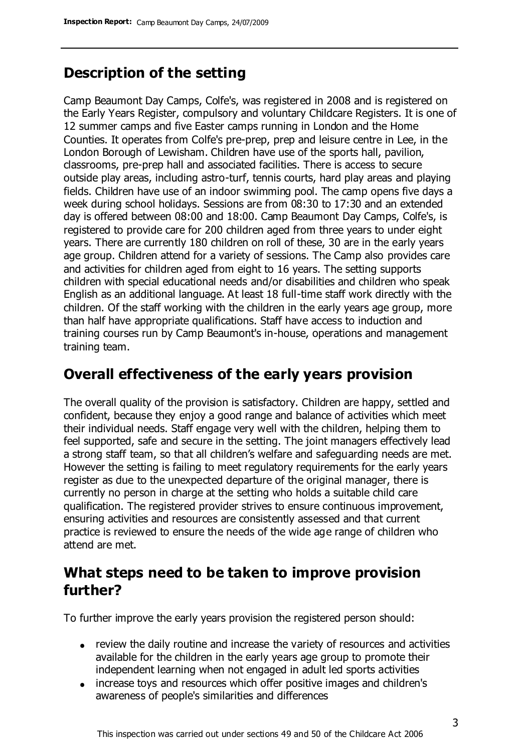# **Description of the setting**

Camp Beaumont Day Camps, Colfe's, was registered in 2008 and is registered on the Early Years Register, compulsory and voluntary Childcare Registers. It is one of 12 summer camps and five Easter camps running in London and the Home Counties. It operates from Colfe's pre-prep, prep and leisure centre in Lee, in the London Borough of Lewisham. Children have use of the sports hall, pavilion, classrooms, pre-prep hall and associated facilities. There is access to secure outside play areas, including astro-turf, tennis courts, hard play areas and playing fields. Children have use of an indoor swimming pool. The camp opens five days a week during school holidays. Sessions are from 08:30 to 17:30 and an extended day is offered between 08:00 and 18:00. Camp Beaumont Day Camps, Colfe's, is registered to provide care for 200 children aged from three years to under eight years. There are currently 180 children on roll of these, 30 are in the early years age group. Children attend for a variety of sessions. The Camp also provides care and activities for children aged from eight to 16 years. The setting supports children with special educational needs and/or disabilities and children who speak English as an additional language. At least 18 full-time staff work directly with the children. Of the staff working with the children in the early years age group, more than half have appropriate qualifications. Staff have access to induction and training courses run by Camp Beaumont's in-house, operations and management training team.

## **Overall effectiveness of the early years provision**

The overall quality of the provision is satisfactory. Children are happy, settled and confident, because they enjoy a good range and balance of activities which meet their individual needs. Staff engage very well with the children, helping them to feel supported, safe and secure in the setting. The joint managers effectively lead a strong staff team, so that all children's welfare and safeguarding needs are met. However the setting is failing to meet regulatory requirements for the early years register as due to the unexpected departure of the original manager, there is currently no person in charge at the setting who holds a suitable child care qualification. The registered provider strives to ensure continuous improvement, ensuring activities and resources are consistently assessed and that current practice is reviewed to ensure the needs of the wide age range of children who attend are met.

# **What steps need to be taken to improve provision further?**

To further improve the early years provision the registered person should:

- review the daily routine and increase the variety of resources and activities available for the children in the early years age group to promote their independent learning when not engaged in adult led sports activities
- increase toys and resources which offer positive images and children's awareness of people's similarities and differences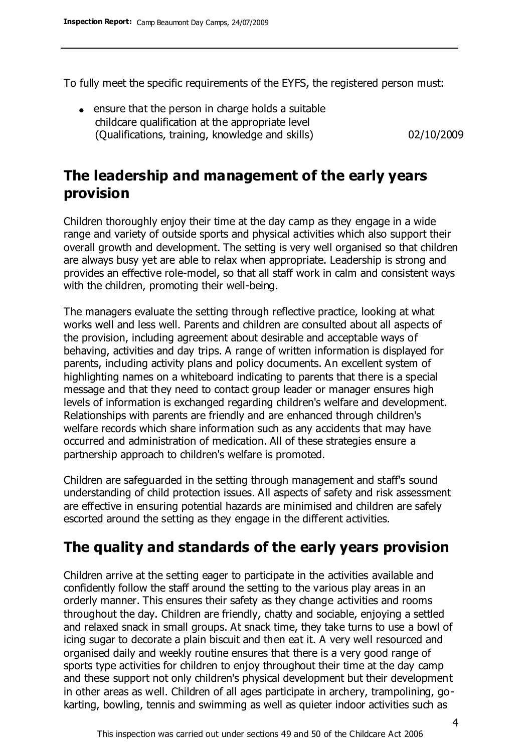To fully meet the specific requirements of the EYFS, the registered person must:

ensure that the person in charge holds a suitable childcare qualification at the appropriate level (Qualifications, training, knowledge and skills) 02/10/2009

## **The leadership and management of the early years provision**

Children thoroughly enjoy their time at the day camp as they engage in a wide range and variety of outside sports and physical activities which also support their overall growth and development. The setting is very well organised so that children are always busy yet are able to relax when appropriate. Leadership is strong and provides an effective role-model, so that all staff work in calm and consistent ways with the children, promoting their well-being.

The managers evaluate the setting through reflective practice, looking at what works well and less well. Parents and children are consulted about all aspects of the provision, including agreement about desirable and acceptable ways of behaving, activities and day trips. A range of written information is displayed for parents, including activity plans and policy documents. An excellent system of highlighting names on a whiteboard indicating to parents that there is a special message and that they need to contact group leader or manager ensures high levels of information is exchanged regarding children's welfare and development. Relationships with parents are friendly and are enhanced through children's welfare records which share information such as any accidents that may have occurred and administration of medication. All of these strategies ensure a partnership approach to children's welfare is promoted.

Children are safeguarded in the setting through management and staff's sound understanding of child protection issues. All aspects of safety and risk assessment are effective in ensuring potential hazards are minimised and children are safely escorted around the setting as they engage in the different activities.

# **The quality and standards of the early years provision**

Children arrive at the setting eager to participate in the activities available and confidently follow the staff around the setting to the various play areas in an orderly manner. This ensures their safety as they change activities and rooms throughout the day. Children are friendly, chatty and sociable, enjoying a settled and relaxed snack in small groups. At snack time, they take turns to use a bowl of icing sugar to decorate a plain biscuit and then eat it. A very well resourced and organised daily and weekly routine ensures that there is a very good range of sports type activities for children to enjoy throughout their time at the day camp and these support not only children's physical development but their development in other areas as well. Children of all ages participate in archery, trampolining, gokarting, bowling, tennis and swimming as well as quieter indoor activities such as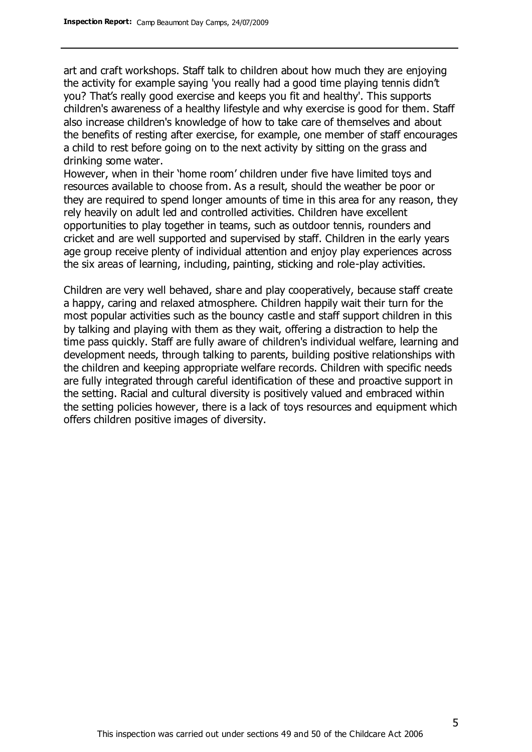art and craft workshops. Staff talk to children about how much they are enjoying the activity for example saying 'you really had a good time playing tennis didn't you? That's really good exercise and keeps you fit and healthy'. This supports children's awareness of a healthy lifestyle and why exercise is good for them. Staff also increase children's knowledge of how to take care of themselves and about the benefits of resting after exercise, for example, one member of staff encourages a child to rest before going on to the next activity by sitting on the grass and drinking some water.

However, when in their 'home room' children under five have limited toys and resources available to choose from. As a result, should the weather be poor or they are required to spend longer amounts of time in this area for any reason, they rely heavily on adult led and controlled activities. Children have excellent opportunities to play together in teams, such as outdoor tennis, rounders and cricket and are well supported and supervised by staff. Children in the early years age group receive plenty of individual attention and enjoy play experiences across the six areas of learning, including, painting, sticking and role-play activities.

Children are very well behaved, share and play cooperatively, because staff create a happy, caring and relaxed atmosphere. Children happily wait their turn for the most popular activities such as the bouncy castle and staff support children in this by talking and playing with them as they wait, offering a distraction to help the time pass quickly. Staff are fully aware of children's individual welfare, learning and development needs, through talking to parents, building positive relationships with the children and keeping appropriate welfare records. Children with specific needs are fully integrated through careful identification of these and proactive support in the setting. Racial and cultural diversity is positively valued and embraced within the setting policies however, there is a lack of toys resources and equipment which offers children positive images of diversity.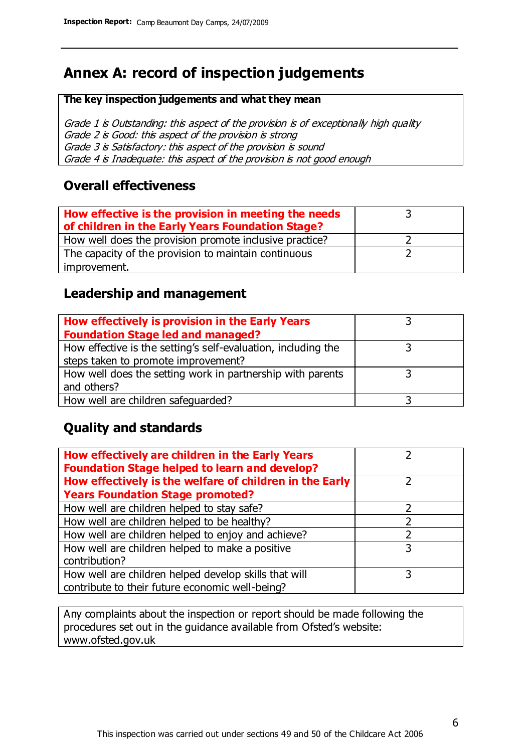# **Annex A: record of inspection judgements**

#### **The key inspection judgements and what they mean**

Grade 1 is Outstanding: this aspect of the provision is of exceptionally high quality Grade 2 is Good: this aspect of the provision is strong Grade 3 is Satisfactory: this aspect of the provision is sound Grade 4 is Inadequate: this aspect of the provision is not good enough

#### **Overall effectiveness**

| How effective is the provision in meeting the needs<br>of children in the Early Years Foundation Stage? |  |
|---------------------------------------------------------------------------------------------------------|--|
| How well does the provision promote inclusive practice?                                                 |  |
| The capacity of the provision to maintain continuous                                                    |  |
| improvement.                                                                                            |  |

#### **Leadership and management**

| How effectively is provision in the Early Years               |  |
|---------------------------------------------------------------|--|
| <b>Foundation Stage led and managed?</b>                      |  |
| How effective is the setting's self-evaluation, including the |  |
| steps taken to promote improvement?                           |  |
| How well does the setting work in partnership with parents    |  |
| and others?                                                   |  |
| How well are children safeguarded?                            |  |

### **Quality and standards**

| How effectively are children in the Early Years<br><b>Foundation Stage helped to learn and develop?</b> |   |
|---------------------------------------------------------------------------------------------------------|---|
| How effectively is the welfare of children in the Early                                                 |   |
| <b>Years Foundation Stage promoted?</b>                                                                 |   |
| How well are children helped to stay safe?                                                              |   |
| How well are children helped to be healthy?                                                             |   |
| How well are children helped to enjoy and achieve?                                                      | 2 |
| How well are children helped to make a positive                                                         | 3 |
| contribution?                                                                                           |   |
| How well are children helped develop skills that will                                                   |   |
| contribute to their future economic well-being?                                                         |   |

Any complaints about the inspection or report should be made following the procedures set out in the guidance available from Ofsted's website: www.ofsted.gov.uk